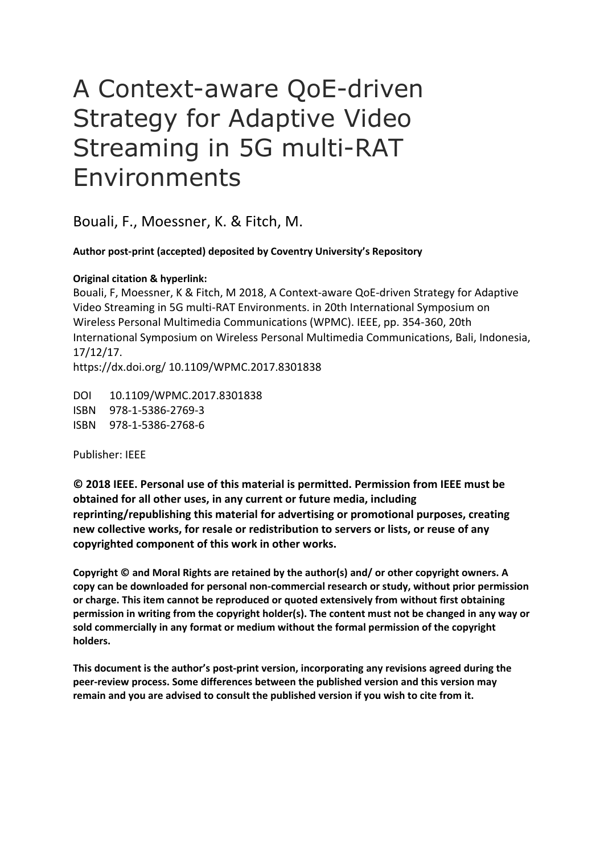# A Context-aware QoE-driven Strategy for Adaptive Video Streaming in 5G multi-RAT Environments

Bouali, F., Moessner, K. & Fitch, M.

**Author post-print (accepted) deposited by Coventry University's Repository**

# **Original citation & hyperlink:**

Bouali, F, Moessner, K & Fitch, M 2018, A Context-aware QoE-driven Strategy for Adaptive Video Streaming in 5G multi-RAT Environments. in 20th International Symposium on Wireless Personal Multimedia Communications (WPMC). IEEE, pp. 354-360, 20th International Symposium on Wireless Personal Multimedia Communications, Bali, Indonesia, 17/12/17.

https://dx.doi.org/ 10.1109/WPMC.2017.8301838

DOI 10.1109/WPMC.2017.8301838 ISBN 978-1-5386-2769-3 ISBN 978-1-5386-2768-6

Publisher: IEEE

**© 2018 IEEE. Personal use of this material is permitted. Permission from IEEE must be obtained for all other uses, in any current or future media, including reprinting/republishing this material for advertising or promotional purposes, creating new collective works, for resale or redistribution to servers or lists, or reuse of any copyrighted component of this work in other works.** 

**Copyright © and Moral Rights are retained by the author(s) and/ or other copyright owners. A copy can be downloaded for personal non-commercial research or study, without prior permission or charge. This item cannot be reproduced or quoted extensively from without first obtaining permission in writing from the copyright holder(s). The content must not be changed in any way or sold commercially in any format or medium without the formal permission of the copyright holders.** 

 **peer-review process. Some differences between the published version and this version may This document is the author's post-print version, incorporating any revisions agreed during the remain and you are advised to consult the published version if you wish to cite from it.**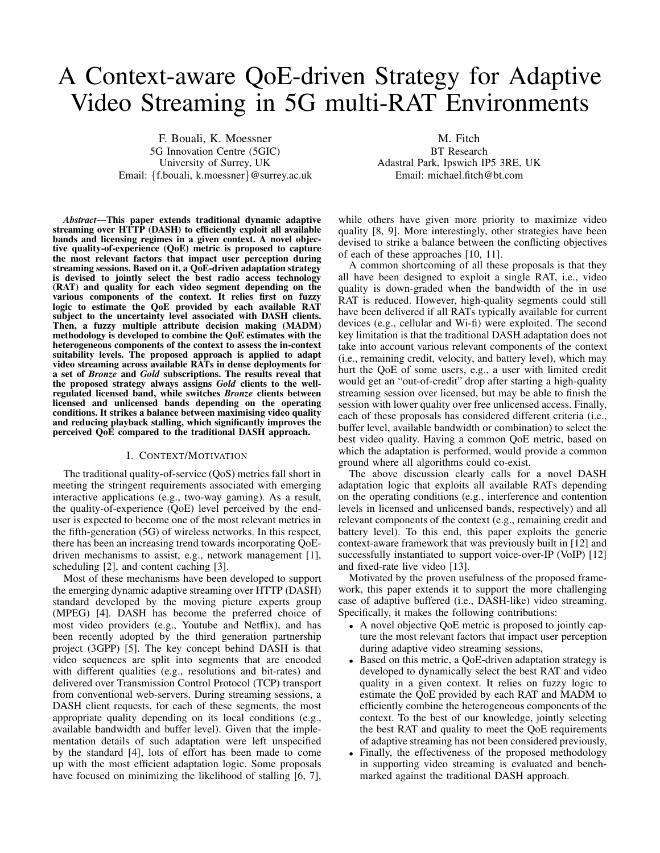# A Context-aware QoE-driven Strategy for Adaptive Video Streaming in 5G multi-RAT Environments

F. Bouali, K. Moessner M. Fitch 5G Innovation Centre (5GIC) BT Research Email: {f.bouali, k.moessner}@surrey.ac.uk Email: michael.ftch@bt.com

University of Surrey, UK Adastral Park, Ipswich IP5 3RE, UK

*Abstract***—This paper extends traditional dynamic adaptive streaming over HTTP (DASH) to effciently exploit all available bands tive quality-of-experience (QoE) metric is proposed to capture the most relevant factors that impact user perception during streaming sessions. Based on it, a QoE-driven adaptation strategy is devised to jointly select the best radio access technology (RAT) and quality for each video segment depending on the various components of the context. It relies frst on fuzzy logic to estimate the QoE provided by each available RAT subject to the uncertainty level associated with DASH clients. Then, a fuzzy multiple attribute decision making (MADM) methodology is developed to combine the QoE estimates with the heterogeneous components of the context to assess the in-context suitability levels. The proposed approach is applied to adapt video streaming across available RATs in dense deployments for a set of** *Bronze* **and** *Gold* **subscriptions. The results reveal that the proposed strategy always assigns** *Gold* **clients to the wellregulated licensed band, while switches** *Bronze* **clients between licensed and unlicensed bands depending on the operating conditions. It strikes a balance between maximising video quality and reducing playback stalling, which signifcantly improves the perceived QoE compared to the traditional DASH approach.** 

# I. CONTEXT/MOTIVATION

The traditional quality-of-service (QoS) metrics fall short in meeting the stringent requirements associated with emerging interactive applications (e.g., two-way gaming). As a result, the quality-of-experience (QoE) level perceived by the enduser is expected to become one of the most relevant metrics in the ffth-generation (5G) of wireless networks. In this respect, there has been an increasing trend towards incorporating QoEdriven mechanisms to assist, e.g., network management [1], scheduling [2], and content caching [3].

Most of these mechanisms have been developed to support the emerging dynamic adaptive streaming over HTTP (DASH) standard developed by the moving picture experts group (MPEG) [4]. DASH has become the preferred choice of most video providers (e.g., Youtube and Netfix), and has been recently adopted by the third generation partnership project (3GPP) [5]. The key concept behind DASH is that video sequences are split into segments that are encoded with different qualities (e.g., resolutions and bit-rates) and delivered over Transmission Control Protocol (TCP) transport from conventional web-servers. During streaming sessions, a DASH client requests, for each of these segments, the most appropriate quality depending on its local conditions (e.g., available bandwidth and buffer level). Given that the implementation details of such adaptation were left unspecifed by the standard [4], lots of effort has been made to come up with the most effcient adaptation logic. Some proposals have focused on minimizing the likelihood of stalling [6, 7],

while others have given more priority to maximize video quality [8, 9]. More interestingly, other strategies have been devised to strike a balance between the conficting objectives of each of these approaches [10, 11].

A common shortcoming of all these proposals is that they all have been designed to exploit a single RAT, i.e., video quality is down-graded when the bandwidth of the in use RAT is reduced. However, high-quality segments could still have been delivered if all RATs typically available for current devices (e.g., cellular and Wi-f) were exploited. The second key limitation is that the traditional DASH adaptation does not take into account various relevant components of the context (i.e., remaining credit, velocity, and battery level), which may hurt the QoE of some users, e.g., a user with limited credit would get an "out-of-credit" drop after starting a high-quality streaming session over licensed, but may be able to fnish the session with lower quality over free unlicensed access. Finally, each of these proposals has considered different criteria (i.e., buffer level, available bandwidth or combination) to select the best video quality. Having a common QoE metric, based on which the adaptation is performed, would provide a common ground where all algorithms could co-exist.

The above discussion clearly calls for a novel DASH adaptation logic that exploits all available RATs depending on the operating conditions (e.g., interference and contention levels in licensed and unlicensed bands, respectively) and all relevant components of the context (e.g., remaining credit and battery level). To this end, this paper exploits the generic context-aware framework that was previously built in [12] and successfully instantiated to support voice-over-IP (VoIP) [12] and fxed-rate live video [13].

Motivated by the proven usefulness of the proposed framework, this paper extends it to support the more challenging case of adaptive buffered (i.e., DASH-like) video streaming. Specifcally, it makes the following contributions:

- A novel objective QoE metric is proposed to jointly capture the most relevant factors that impact user perception during adaptive video streaming sessions,
- Based on this metric, a QoE-driven adaptation strategy is developed to dynamically select the best RAT and video quality in a given context. It relies on fuzzy logic to estimate the QoE provided by each RAT and MADM to effciently combine the heterogeneous components of the context. To the best of our knowledge, jointly selecting the best RAT and quality to meet the QoE requirements of adaptive streaming has not been considered previously,
- Finally, the effectiveness of the proposed methodology in supporting video streaming is evaluated and benchmarked against the traditional DASH approach.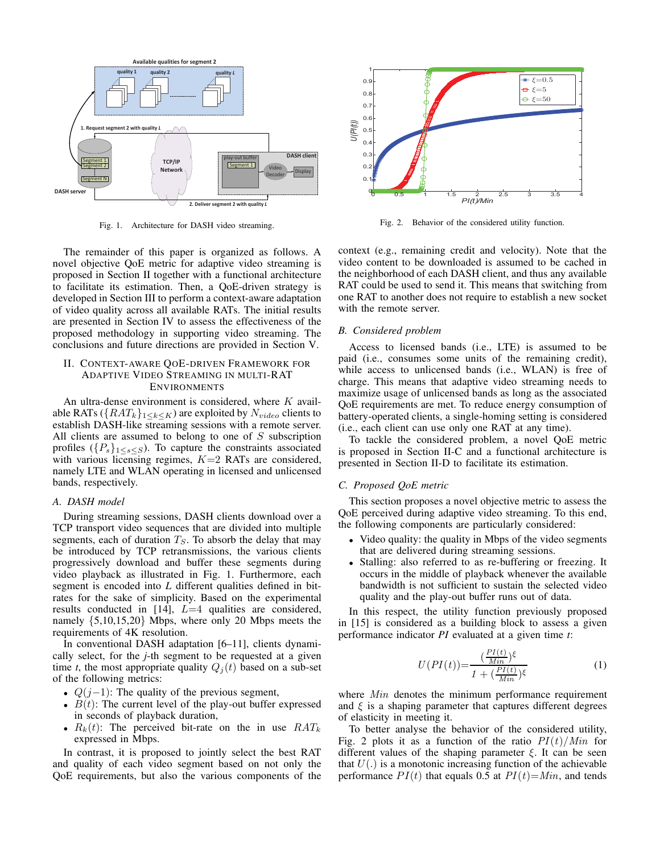

Fig. 1. Architecture for DASH video streaming.

The remainder of this paper is organized as follows. A novel objective QoE metric for adaptive video streaming is proposed in Section II together with a functional architecture to facilitate its estimation. Then, a QoE-driven strategy is developed in Section III to perform a context-aware adaptation of video quality across all available RATs. The initial results are presented in Section IV to assess the effectiveness of the proposed methodology in supporting video streaming. The conclusions and future directions are provided in Section V.

# II. CONTEXT-AWARE QOE-DRIVEN FRAMEWORK FOR ADAPTIVE VIDEO STREAMING IN MULTI-RAT **ENVIRONMENTS**

An ultra-dense environment is considered, where  $K$  available RATs ( $\{RAT_k\}_{1\leq k\leq K}$ ) are exploited by  $N_{video}$  clients to establish DASH-like streaming sessions with a remote server. All clients are assumed to belong to one of  $S$  subscription profiles  $({P_s}_{1\leq s\leq s})$ . To capture the constraints associated with various licensing regimes,  $K=2$  RATs are considered, namely LTE and WLAN operating in licensed and unlicensed bands, respectively.

### *A. DASH model*

During streaming sessions, DASH clients download over a TCP transport video sequences that are divided into multiple segments, each of duration  $T<sub>S</sub>$ . To absorb the delay that may be introduced by TCP retransmissions, the various clients progressively download and buffer these segments during video playback as illustrated in Fig. 1. Furthermore, each segment is encoded into *L* different qualities defned in bitrates for the sake of simplicity. Based on the experimental results conducted in [14],  $L=4$  qualities are considered, namely {5,10,15,20} Mbps, where only 20 Mbps meets the requirements of 4K resolution.

In conventional DASH adaptation [6–11], clients dynamically select, for the *j*-th segment to be requested at a given time *t*, the most appropriate quality  $Q_i(t)$  based on a sub-set of the following metrics:

- $Q(j-1)$ : The quality of the previous segment,
- $B(t)$ : The current level of the play-out buffer expressed in seconds of playback duration,
- $R_k(t)$ : The perceived bit-rate on the in use  $RAT_k$ expressed in Mbps.

In contrast, it is proposed to jointly select the best RAT and quality of each video segment based on not only the QoE requirements, but also the various components of the



Fig. 2. Behavior of the considered utility function.

context (e.g., remaining credit and velocity). Note that the video content to be downloaded is assumed to be cached in the neighborhood of each DASH client, and thus any available RAT could be used to send it. This means that switching from one RAT to another does not require to establish a new socket with the remote server.

#### *B. Considered problem*

Access to licensed bands (i.e., LTE) is assumed to be paid (i.e., consumes some units of the remaining credit), while access to unlicensed bands (i.e., WLAN) is free of charge. This means that adaptive video streaming needs to maximize usage of unlicensed bands as long as the associated QoE requirements are met. To reduce energy consumption of battery-operated clients, a single-homing setting is considered (i.e., each client can use only one RAT at any time).

To tackle the considered problem, a novel QoE metric is proposed in Section II-C and a functional architecture is presented in Section II-D to facilitate its estimation.

# *C. Proposed QoE metric*

This section proposes a novel objective metric to assess the QoE perceived during adaptive video streaming. To this end, the following components are particularly considered:

- Video quality: the quality in Mbps of the video segments that are delivered during streaming sessions.
- Stalling: also referred to as re-buffering or freezing. It occurs in the middle of playback whenever the available bandwidth is not sufficient to sustain the selected video quality and the play-out buffer runs out of data.

In this respect, the utility function previously proposed in [15] is considered as a building block to assess a given performance indicator *PI* evaluated at a given time *t*:

$$
U(PI(t)) = \frac{\left(\frac{PI(t)}{Min}\right)^{\xi}}{1 + \left(\frac{PI(t)}{Min}\right)^{\xi}}
$$
(1)

where *Min* denotes the minimum performance requirement and  $\xi$  is a shaping parameter that captures different degrees of elasticity in meeting it.

To better analyse the behavior of the considered utility, Fig. 2 plots it as a function of the ratio  $PI(t)/Min$  for different values of the shaping parameter  $\xi$ . It can be seen that  $U(.)$  is a monotonic increasing function of the achievable performance  $PI(t)$  that equals 0.5 at  $PI(t)=Min$ , and tends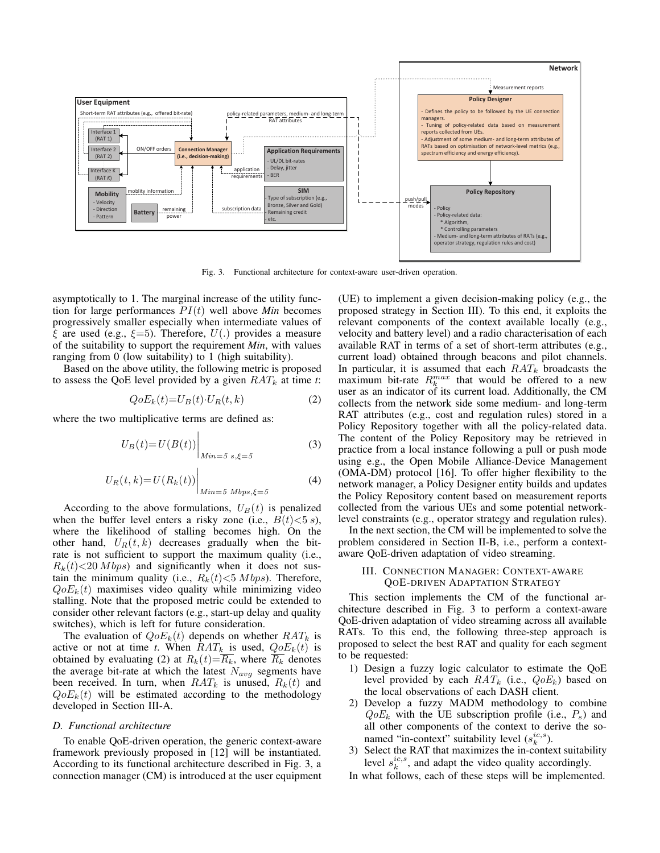

Fig. 3. Functional architecture for context-aware user-driven operation.

asymptotically to 1. The marginal increase of the utility function for large performances  $PI(t)$  well above *Min* becomes progressively smaller especially when intermediate values of  $\xi$  are used (e.g.,  $\xi=5$ ). Therefore,  $U(.)$  provides a measure of the suitability to support the requirement *Min*, with values ranging from 0 (low suitability) to 1 (high suitability).

Based on the above utility, the following metric is proposed to assess the QoE level provided by a given  $RAT_k$  at time *t*:

$$
QoE_k(t) = U_B(t) \cdot U_R(t,k) \tag{2}
$$

where the two multiplicative terms are defined as:

$$
U_B(t) = U(B(t))\Big|_{Min=5 \ s,\xi=5}
$$
 (3)

$$
U_R(t,k) = U(R_k(t))\Big|_{Min=5\ Mbps,\xi=5}
$$
 (4)

According to the above formulations,  $U_B(t)$  is penalized when the buffer level enters a risky zone (i.e.,  $B(t) < 5 s$ ), where the likelihood of stalling becomes high. On the other hand,  $U_R(t, k)$  decreases gradually when the bitrate is not sufficient to support the maximum quality (i.e.,  $R_k(t)$  < 20 Mbps) and significantly when it does not sustain the minimum quality (i.e.,  $R_k(t) \leq 5 \, Mbps$ ). Therefore,  $QoE<sub>k</sub>(t)$  maximises video quality while minimizing video stalling. Note that the proposed metric could be extended to consider other relevant factors (e.g., start-up delay and quality switches), which is left for future consideration.

The evaluation of  $QoE_k(t)$  depends on whether  $RAT_k$  is active or not at time *t*. When  $RAT_k$  is used,  $QoE_k(t)$  is obtained by evaluating (2) at  $R_k(t)=\overline{R_k}$ , where  $\overline{R_k}$  denotes the average bit-rate at which the latest  $N_{avg}$  segments have been received. In turn, when  $RAT_k$  is unused,  $R_k(t)$  and  $QoE<sub>k</sub>(t)$  will be estimated according to the methodology developed in Section III-A.

### *D. Functional architecture*

To enable QoE-driven operation, the generic context-aware framework previously proposed in [12] will be instantiated. According to its functional architecture described in Fig. 3, a connection manager (CM) is introduced at the user equipment

(UE) to implement a given decision-making policy (e.g., the proposed strategy in Section III). To this end, it exploits the relevant components of the context available locally (e.g., velocity and battery level) and a radio characterisation of each available RAT in terms of a set of short-term attributes (e.g., current load) obtained through beacons and pilot channels. In particular, it is assumed that each  $RAT_k$  broadcasts the maximum bit-rate  $R_k^{max}$  that would be offered to a new user as an indicator of its current load. Additionally, the CM collects from the network side some medium- and long-term RAT attributes (e.g., cost and regulation rules) stored in a Policy Repository together with all the policy-related data. The content of the Policy Repository may be retrieved in practice from a local instance following a pull or push mode using e.g., the Open Mobile Alliance-Device Management (OMA-DM) protocol [16]. To offer higher fexibility to the network manager, a Policy Designer entity builds and updates the Policy Repository content based on measurement reports collected from the various UEs and some potential networklevel constraints (e.g., operator strategy and regulation rules).

In the next section, the CM will be implemented to solve the problem considered in Section II-B, i.e., perform a contextaware QoE-driven adaptation of video streaming.

# III. CONNECTION MANAGER: CONTEXT-AWARE QOE-DRIVEN ADAPTATION STRATEGY

This section implements the CM of the functional architecture described in Fig. 3 to perform a context-aware QoE-driven adaptation of video streaming across all available RATs. To this end, the following three-step approach is proposed to select the best RAT and quality for each segment to be requested:

- 1) Design a fuzzy logic calculator to estimate the QoE level provided by each  $RAT_k$  (i.e.,  $QoE_k$ ) based on the local observations of each DASH client.
- 2) Develop a fuzzy MADM methodology to combine  $QoE_k$  with the UE subscription profile (i.e.,  $P_s$ ) and all other components of the context to derive the sonamed "in-context" suitability level  $(s_k^{ic,s})$ .
- 3) Select the RAT that maximizes the in-context suitability level  $s_k^{ic,s}$ , and adapt the video quality accordingly.
- In what follows, each of these steps will be implemented.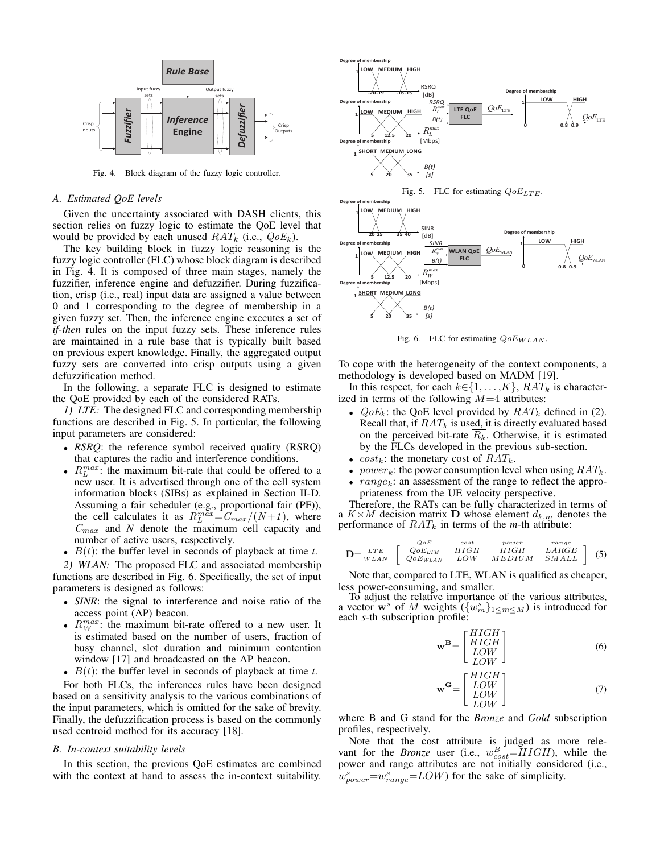

Fig. 4. Block diagram of the fuzzy logic controller.

#### *A. Estimated QoE levels*

Given the uncertainty associated with DASH clients, this section relies on fuzzy logic to estimate the QoE level that would be provided by each unused  $RAT_k$  (i.e.,  $QoE_k$ ).

The key building block in fuzzy logic reasoning is the fuzzy logic controller (FLC) whose block diagram is described in Fig. 4. It is composed of three main stages, namely the fuzzifer, inference engine and defuzzifer. During fuzzifcation, crisp (i.e., real) input data are assigned a value between 0 and 1 corresponding to the degree of membership in a given fuzzy set. Then, the inference engine executes a set of *if-then* rules on the input fuzzy sets. These inference rules are maintained in a rule base that is typically built based on previous expert knowledge. Finally, the aggregated output fuzzy sets are converted into crisp outputs using a given defuzzifcation method.

In the following, a separate FLC is designed to estimate the QoE provided by each of the considered RATs.

*1) LTE:* The designed FLC and corresponding membership functions are described in Fig. 5. In particular, the following input parameters are considered:

- *RSRQ*: the reference symbol received quality (RSRQ) that captures the radio and interference conditions.
- $R_L^{max}$ : the maximum bit-rate that could be offered to a new user. It is advertised through one of the cell system information blocks (SIBs) as explained in Section II-D. Assuming a fair scheduler (e.g., proportional fair (PF)), the cell calculates it as  $R_L^{max} = C_{max}/(N+1)$ , where  $C_{max}$  and *N* denote the maximum cell capacity and number of active users, respectively.
- $B(t)$ : the buffer level in seconds of playback at time *t*.

*2) WLAN:* The proposed FLC and associated membership functions are described in Fig. 6. Specifcally, the set of input parameters is designed as follows:

- *SINR*: the signal to interference and noise ratio of the access point (AP) beacon.
- $R_W^{max}$ : the maximum bit-rate offered to a new user. It is estimated based on the number of users, fraction of busy channel, slot duration and minimum contention window [17] and broadcasted on the AP beacon.
- $B(t)$ : the buffer level in seconds of playback at time *t*.

For both FLCs, the inferences rules have been designed based on a sensitivity analysis to the various combinations of the input parameters, which is omitted for the sake of brevity. Finally, the defuzzifcation process is based on the commonly used centroid method for its accuracy [18].

#### *B. In-context suitability levels*

In this section, the previous QoE estimates are combined with the context at hand to assess the in-context suitability.







Fig. 6. FLC for estimating  $QoE_{WLAN}$ .

To cope with the heterogeneity of the context components, a methodology is developed based on MADM [19].

In this respect, for each  $k \in \{1, \ldots, K\}$ ,  $RAT_k$  is characterized in terms of the following  $M=4$  attributes:

- $QoE_k$ : the QoE level provided by  $RAT_k$  defined in (2). Recall that, if  $RAT_k$  is used, it is directly evaluated based on the perceived bit-rate  $\overline{R_k}$ . Otherwise, it is estimated by the FLCs developed in the previous sub-section.
- $cost_k$ : the monetary cost of  $RAT_k$ .
- *power<sub>k</sub>*: the power consumption level when using  $RAT_k$ .  $range_k$ : an assessment of the range to reflect the appro-
- priateness from the UE velocity perspective.

Therefore, the RATs can be fully characterized in terms of a  $K \times M$  decision matrix **D** whose element  $d_{k,m}$  denotes the performance of  $RAT_k$  in terms of the *m*-th attribute:

$$
\mathbf{D} = \begin{bmatrix} Q_{oE} & cost & power & range \\ Q_{oE_{UTE}} & HIGH & HIGH & LARGE \\ Q_{oE_{WLAN}} & LOW & MEDIUM & SMALL \end{bmatrix} \quad \text{(5)}
$$

Note that, compared to LTE, WLAN is qualifed as cheaper,

less power-consuming, and smaller.<br>To adjust the relative importance of the various attributes, a vector w<sup>*s*</sup> of M weights ({ $w_m^s$ }<sub>1≤m≤M</sub>) is introduced for each *s*-th subscription profle:

$$
\mathbf{w}^{\mathbf{B}} = \begin{bmatrix} HIGH \\ HIGH \\ LOW \\ LOW \end{bmatrix}
$$
 (6)

$$
\mathbf{w}^{\mathbf{G}} = \begin{bmatrix} HIGH \\ LOW \\ LOW \\ LOW \end{bmatrix} \tag{7}
$$

where B and G stand for the *Bronze* and *Gold* subscription profles, respectively.

Note that the cost attribute is judged as more relevant for the *Bronze* user (i.e.,  $w_{cost}^B = HIGH$ ), while the power and range attributes are not initially considered (i.e.,  $w_{power}^s = w_{range}^s = LOW$ ) for the sake of simplicity.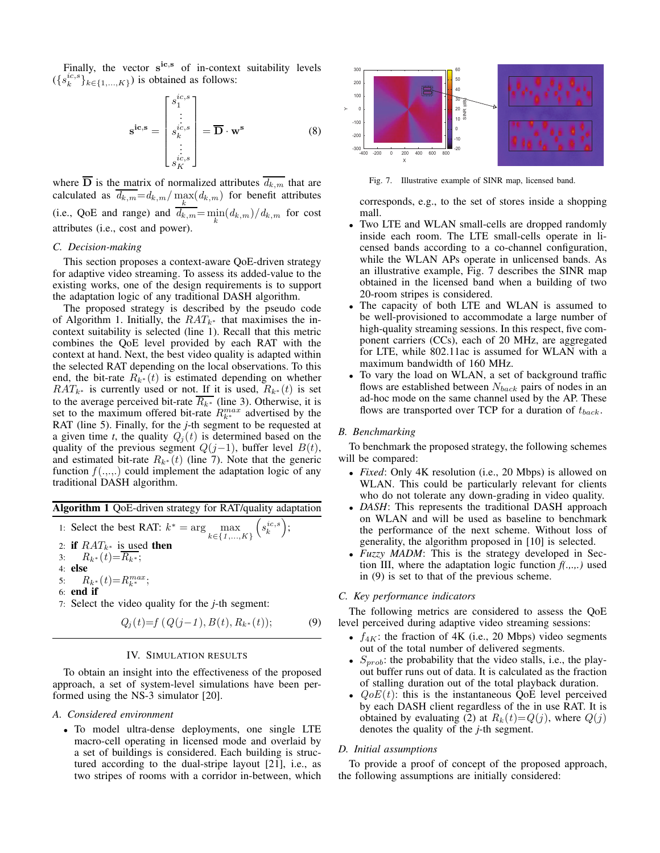Finally, the vector  $s^{ic,s}$  of in-context suitability levels  $\frac{300}{300}$  $(\{s_k^{ic,s}\}_{k\in\{1,\ldots,K\}})$  is obtained as follows:  $\begin{array}{c|c} \begin{array}{c} \hline \end{array} & \begin{array}{c} \hline \end{array} & \begin{array}{c} \hline \end{array} & \begin{array}{c} \hline \end{array} & \begin{array}{c} \hline \end{array} & \begin{array}{c} \hline \end{array} & \begin{array}{c} \hline \end{array} & \begin{array}{c} \hline \end{array} & \begin{array}{c} \hline \end{array} & \begin{array}{c} \hline \end{array} & \begin$ 

$$
\mathbf{s^{ic,s}} = \begin{bmatrix} s_1^{ic,s} \\ \vdots \\ s_k^{ic,s} \\ \vdots \\ s_K^{ic,s} \end{bmatrix} = \overline{\mathbf{D}} \cdot \mathbf{w^s} \qquad (8) \qquad \begin{bmatrix} 100 \\ \times & 0 \\ \times & 0 \\ \vdots \\ 0 & 0 \\ 0 & 0 \end{bmatrix}
$$

where  $\overline{D}$  is the matrix of normalized attributes  $\overline{d_{k,m}}$  that are calculated as  $d_{k,m} = d_{k,m} / \frac{\max\left(d_{k,m}\right)}{k}$  for benefit attributes (i.e., QoE and range) and  $\frac{k}{d_{k,m}} = \min\left(\frac{d_{k,m}}{\sqrt{k}}\right) / d_{k,m}$  for cost attributes (i.e., cost and power).

# *C. Decision-making*

This section proposes a context-aware QoE-driven strategy for adaptive video streaming. To assess its added-value to the existing works, one of the design requirements is to support the adaptation logic of any traditional DASH algorithm.

The proposed strategy is described by the pseudo code of Algorithm 1. Initially, the  $RAT_{k^*}$  that maximises the incontext suitability is selected (line 1). Recall that this metric combines the QoE level provided by each RAT with the context at hand. Next, the best video quality is adapted within the selected RAT depending on the local observations. To this end, the bit-rate  $R_{k*}(t)$  is estimated depending on whether  $RAT_{k^*}$  is currently used or not. If it is used,  $R_{k^*}(t)$  is set to the average perceived bit-rate  $\overline{R_{k*}}$  (line 3). Otherwise, it is set to the maximum offered bit-rate  $R_{k*}^{max}$  advertised by the RAT (line 5). Finally, for the *j*-th segment to be requested at a given time *t*, the quality  $Q_i(t)$  is determined based on the quality of the previous segment  $Q(j-1)$ , buffer level  $B(t)$ , and estimated bit-rate  $R_{k^*}(t)$  (line 7). Note that the generic function  $f(.,.)$  could implement the adaptation logic of any traditional DASH algorithm.

# **Algorithm 1** QoE-driven strategy for RAT/quality adaptation

i: Select the best RAT:  $k^* = \arg \max_{k \in \{1, ..., K\}} \overline{\left(s_k^{ic,s}\right)};$ 2: **if**  $RAT_{k^*}$  is used **then** 3:  $R_{k^*}(t)=\overline{R_{k^*}};$ 4: **else**  5:  $R_{k^*}(t) = R_{k^*}^{max};$ 6: **end if**  7: Select the video quality for the *j*-th segment:

$$
Q_j(t)=f(Q(j-1),B(t),R_{k^*}(t));
$$
\n(9)

#### IV. SIMULATION RESULTS

To obtain an insight into the effectiveness of the proposed approach, a set of system-level simulations have been performed using the NS-3 simulator [20].

# *A. Considered environment*

• To model ultra-dense deployments, one single LTE macro-cell operating in licensed mode and overlaid by a set of buildings is considered. Each building is structured according to the dual-stripe layout [21], i.e., as two stripes of rooms with a corridor in-between, which



Fig. 7. Illustrative example of SINR map, licensed band.

corresponds, e.g., to the set of stores inside a shopping mall.

- Two LTE and WLAN small-cells are dropped randomly inside each room. The LTE small-cells operate in licensed bands according to a co-channel confguration, while the WLAN APs operate in unlicensed bands. As an illustrative example, Fig. 7 describes the SINR map obtained in the licensed band when a building of two 20-room stripes is considered.
- The capacity of both LTE and WLAN is assumed to be well-provisioned to accommodate a large number of high-quality streaming sessions. In this respect, five component carriers (CCs), each of 20 MHz, are aggregated for LTE, while 802.11ac is assumed for WLAN with a maximum bandwidth of 160 MHz.
- To vary the load on WLAN, a set of background traffic flows are established between  $N_{back}$  pairs of nodes in an ad-hoc mode on the same channel used by the AP. These flows are transported over TCP for a duration of  $t_{back}$ .

# *B. Benchmarking*

To benchmark the proposed strategy, the following schemes will be compared:

- *Fixed*: Only 4K resolution (i.e., 20 Mbps) is allowed on WLAN. This could be particularly relevant for clients who do not tolerate any down-grading in video quality.
- *DASH*: This represents the traditional DASH approach on WLAN and will be used as baseline to benchmark the performance of the next scheme. Without loss of generality, the algorithm proposed in [10] is selected.
- *Fuzzy MADM*: This is the strategy developed in Section III, where the adaptation logic function *f(.,.,.)* used in (9) is set to that of the previous scheme.

### *C. Key performance indicators*

The following metrics are considered to assess the QoE level perceived during adaptive video streaming sessions:

- $f_{4K}$ : the fraction of 4K (i.e., 20 Mbps) video segments out of the total number of delivered segments.
- $S_{prob}$ : the probability that the video stalls, i.e., the playout buffer runs out of data. It is calculated as the fraction of stalling duration out of the total playback duration.
- $QoE(t)$ : this is the instantaneous QoE level perceived by each DASH client regardless of the in use RAT. It is obtained by evaluating (2) at  $R_k(t)=Q(j)$ , where  $Q(j)$ denotes the quality of the *j*-th segment.

## *D. Initial assumptions*

To provide a proof of concept of the proposed approach, the following assumptions are initially considered: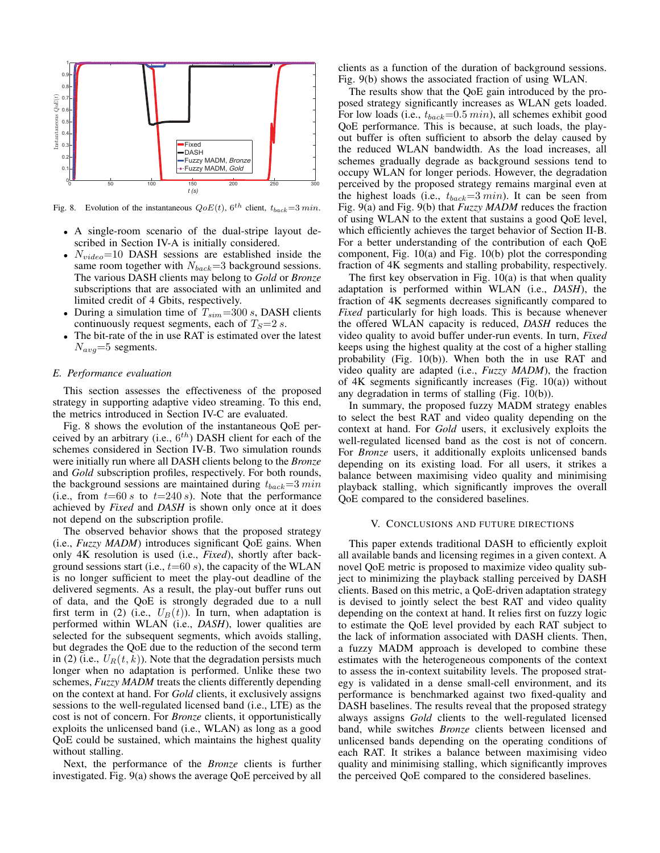

Fig. 8. Evolution of the instantaneous  $QoE(t)$ ,  $6^{th}$  client,  $t_{back}=3 min$ .

- A single-room scenario of the dual-stripe layout described in Section IV-A is initially considered.
- $N_{video}$ =10 DASH sessions are established inside the same room together with  $N_{back}=3$  background sessions. The various DASH clients may belong to *Gold* or *Bronze* subscriptions that are associated with an unlimited and limited credit of 4 Gbits, respectively.
- During a simulation time of  $T_{sim} = 300 s$ , DASH clients continuously request segments, each of  $T<sub>S</sub>=2 s$ .
- The bit-rate of the in use RAT is estimated over the latest  $N_{avg}=5$  segments.

# *E. Performance evaluation*

This section assesses the effectiveness of the proposed strategy in supporting adaptive video streaming. To this end, the metrics introduced in Section IV-C are evaluated.

Fig. 8 shows the evolution of the instantaneous QoE perceived by an arbitrary (i.e.,  $6^{th}$ ) DASH client for each of the schemes considered in Section IV-B. Two simulation rounds were initially run where all DASH clients belong to the *Bronze* and *Gold* subscription profles, respectively. For both rounds, the background sessions are maintained during  $t_{back}=3 min$ (i.e., from  $t=60 s$  to  $t=240 s$ ). Note that the performance achieved by *Fixed* and *DASH* is shown only once at it does not depend on the subscription profle.

The observed behavior shows that the proposed strategy (i.e., *Fuzzy MADM*) introduces signifcant QoE gains. When only 4K resolution is used (i.e., *Fixed*), shortly after background sessions start (i.e.,  $t=60 s$ ), the capacity of the WLAN is no longer suffcient to meet the play-out deadline of the delivered segments. As a result, the play-out buffer runs out of data, and the QoE is strongly degraded due to a null first term in (2) (i.e.,  $U_B(t)$ ). In turn, when adaptation is performed within WLAN (i.e., *DASH*), lower qualities are selected for the subsequent segments, which avoids stalling, but degrades the QoE due to the reduction of the second term in (2) (i.e.,  $U_R(t, k)$ ). Note that the degradation persists much longer when no adaptation is performed. Unlike these two schemes, *Fuzzy MADM* treats the clients differently depending on the context at hand. For *Gold* clients, it exclusively assigns sessions to the well-regulated licensed band (i.e., LTE) as the cost is not of concern. For *Bronze* clients, it opportunistically exploits the unlicensed band (i.e., WLAN) as long as a good QoE could be sustained, which maintains the highest quality without stalling.

Next, the performance of the *Bronze* clients is further investigated. Fig. 9(a) shows the average QoE perceived by all

clients as a function of the duration of background sessions. Fig. 9(b) shows the associated fraction of using WLAN.

The results show that the QoE gain introduced by the proposed strategy signifcantly increases as WLAN gets loaded. For low loads (i.e.,  $t_{back}=0.5$  min), all schemes exhibit good QoE performance. This is because, at such loads, the playout buffer is often suffcient to absorb the delay caused by the reduced WLAN bandwidth. As the load increases, all schemes gradually degrade as background sessions tend to occupy WLAN for longer periods. However, the degradation perceived by the proposed strategy remains marginal even at the highest loads (i.e.,  $t_{back}=3 min$ ). It can be seen from Fig. 9(a) and Fig. 9(b) that *Fuzzy MADM* reduces the fraction of using WLAN to the extent that sustains a good QoE level, which efficiently achieves the target behavior of Section II-B. For a better understanding of the contribution of each QoE component, Fig. 10(a) and Fig. 10(b) plot the corresponding fraction of 4K segments and stalling probability, respectively.

The first key observation in Fig.  $10(a)$  is that when quality adaptation is performed within WLAN (i.e., *DASH*), the fraction of 4K segments decreases signifcantly compared to *Fixed* particularly for high loads. This is because whenever the offered WLAN capacity is reduced, *DASH* reduces the video quality to avoid buffer under-run events. In turn, *Fixed* keeps using the highest quality at the cost of a higher stalling probability (Fig. 10(b)). When both the in use RAT and video quality are adapted (i.e., *Fuzzy MADM*), the fraction of  $4K$  segments significantly increases (Fig.  $10(a)$ ) without any degradation in terms of stalling (Fig. 10(b)).

In summary, the proposed fuzzy MADM strategy enables to select the best RAT and video quality depending on the context at hand. For *Gold* users, it exclusively exploits the well-regulated licensed band as the cost is not of concern. For *Bronze* users, it additionally exploits unlicensed bands depending on its existing load. For all users, it strikes a balance between maximising video quality and minimising playback stalling, which signifcantly improves the overall QoE compared to the considered baselines.

#### V. CONCLUSIONS AND FUTURE DIRECTIONS

This paper extends traditional DASH to efficiently exploit all available bands and licensing regimes in a given context. A novel QoE metric is proposed to maximize video quality subject to minimizing the playback stalling perceived by DASH clients. Based on this metric, a QoE-driven adaptation strategy is devised to jointly select the best RAT and video quality depending on the context at hand. It relies frst on fuzzy logic to estimate the QoE level provided by each RAT subject to the lack of information associated with DASH clients. Then, a fuzzy MADM approach is developed to combine these estimates with the heterogeneous components of the context to assess the in-context suitability levels. The proposed strategy is validated in a dense small-cell environment, and its performance is benchmarked against two fxed-quality and DASH baselines. The results reveal that the proposed strategy always assigns *Gold* clients to the well-regulated licensed band, while switches *Bronze* clients between licensed and unlicensed bands depending on the operating conditions of each RAT. It strikes a balance between maximising video quality and minimising stalling, which signifcantly improves the perceived QoE compared to the considered baselines.